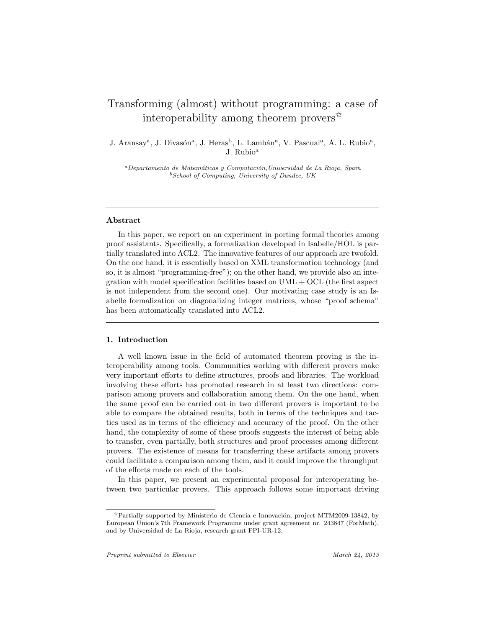# Transforming (almost) without programming: a case of interoperability among theorem provers<sup> $\hat{\varphi}$ </sup>

J. Aransay<sup>a</sup>, J. Divasón<sup>a</sup>, J. Heras<sup>b</sup>, L. Lambán<sup>a</sup>, V. Pascual<sup>a</sup>, A. L. Rubio<sup>a</sup>, J. Rubio<sup>a</sup>

<sup>a</sup> Departamento de Matemáticas y Computación, Universidad de La Rioja, Spain  $b$  School of Computing, University of Dundee, UK

# Abstract

In this paper, we report on an experiment in porting formal theories among proof assistants. Specifically, a formalization developed in Isabelle/HOL is partially translated into ACL2. The innovative features of our approach are twofold. On the one hand, it is essentially based on XML transformation technology (and so, it is almost "programming-free"); on the other hand, we provide also an integration with model specification facilities based on  $UML + OCL$  (the first aspect is not independent from the second one). Our motivating case study is an Isabelle formalization on diagonalizing integer matrices, whose "proof schema" has been automatically translated into ACL2.

# 1. Introduction

A well known issue in the field of automated theorem proving is the interoperability among tools. Communities working with different provers make very important efforts to define structures, proofs and libraries. The workload involving these efforts has promoted research in at least two directions: comparison among provers and collaboration among them. On the one hand, when the same proof can be carried out in two different provers is important to be able to compare the obtained results, both in terms of the techniques and tactics used as in terms of the efficiency and accuracy of the proof. On the other hand, the complexity of some of these proofs suggests the interest of being able to transfer, even partially, both structures and proof processes among different provers. The existence of means for transferring these artifacts among provers could facilitate a comparison among them, and it could improve the throughput of the efforts made on each of the tools.

In this paper, we present an experimental proposal for interoperating between two particular provers. This approach follows some important driving

 $\hat{\mathcal{P}}$  Partially supported by Ministerio de Ciencia e Innovación, project MTM2009-13842, by European Union's 7th Framework Programme under grant agreement nr. 243847 (ForMath), and by Universidad de La Rioja, research grant FPI-UR-12.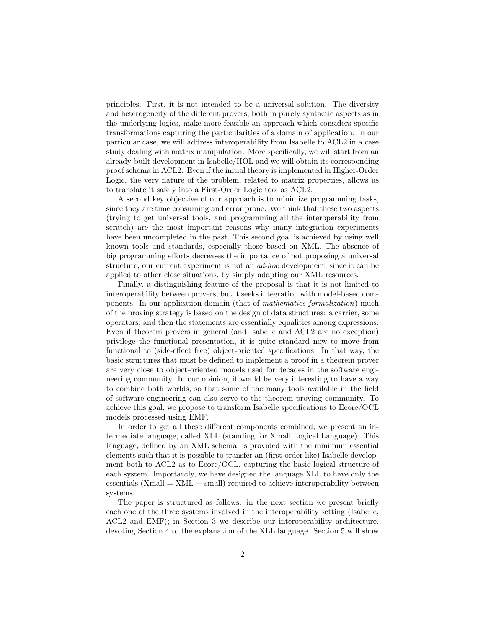principles. First, it is not intended to be a universal solution. The diversity and heterogeneity of the different provers, both in purely syntactic aspects as in the underlying logics, make more feasible an approach which considers specific transformations capturing the particularities of a domain of application. In our particular case, we will address interoperability from Isabelle to ACL2 in a case study dealing with matrix manipulation. More specifically, we will start from an already-built development in Isabelle/HOL and we will obtain its corresponding proof schema in ACL2. Even if the initial theory is implemented in Higher-Order Logic, the very nature of the problem, related to matrix properties, allows us to translate it safely into a First-Order Logic tool as ACL2.

A second key objective of our approach is to minimize programming tasks, since they are time consuming and error prone. We think that these two aspects (trying to get universal tools, and programming all the interoperability from scratch) are the most important reasons why many integration experiments have been uncompleted in the past. This second goal is achieved by using well known tools and standards, especially those based on XML. The absence of big programming efforts decreases the importance of not proposing a universal structure; our current experiment is not an ad-hoc development, since it can be applied to other close situations, by simply adapting our XML resources.

Finally, a distinguishing feature of the proposal is that it is not limited to interoperability between provers, but it seeks integration with model-based components. In our application domain (that of mathematics formalization) much of the proving strategy is based on the design of data structures: a carrier, some operators, and then the statements are essentially equalities among expressions. Even if theorem provers in general (and Isabelle and ACL2 are no exception) privilege the functional presentation, it is quite standard now to move from functional to (side-effect free) object-oriented specifications. In that way, the basic structures that must be defined to implement a proof in a theorem prover are very close to object-oriented models used for decades in the software engineering community. In our opinion, it would be very interesting to have a way to combine both worlds, so that some of the many tools available in the field of software engineering can also serve to the theorem proving community. To achieve this goal, we propose to transform Isabelle specifications to Ecore/OCL models processed using EMF.

In order to get all these different components combined, we present an intermediate language, called XLL (standing for Xmall Logical Language). This language, defined by an XML schema, is provided with the minimum essential elements such that it is possible to transfer an (first-order like) Isabelle development both to ACL2 as to Ecore/OCL, capturing the basic logical structure of each system. Importantly, we have designed the language XLL to have only the essentials  $(Xmall = XML + small)$  required to achieve interoperability between systems.

The paper is structured as follows: in the next section we present briefly each one of the three systems involved in the interoperability setting (Isabelle, ACL2 and EMF); in Section 3 we describe our interoperability architecture, devoting Section 4 to the explanation of the XLL language. Section 5 will show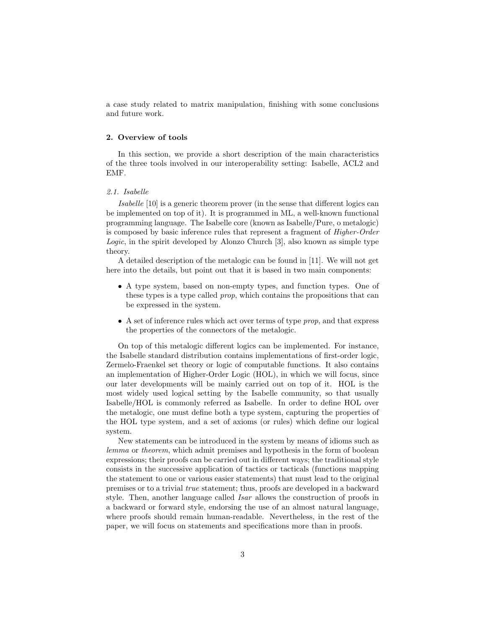a case study related to matrix manipulation, finishing with some conclusions and future work.

## 2. Overview of tools

In this section, we provide a short description of the main characteristics of the three tools involved in our interoperability setting: Isabelle, ACL2 and EMF.

## 2.1. Isabelle

Isabelle [10] is a generic theorem prover (in the sense that different logics can be implemented on top of it). It is programmed in ML, a well-known functional programming language. The Isabelle core (known as Isabelle/Pure, o metalogic) is composed by basic inference rules that represent a fragment of Higher-Order Logic, in the spirit developed by Alonzo Church [3], also known as simple type theory.

A detailed description of the metalogic can be found in [11]. We will not get here into the details, but point out that it is based in two main components:

- A type system, based on non-empty types, and function types. One of these types is a type called prop, which contains the propositions that can be expressed in the system.
- A set of inference rules which act over terms of type prop, and that express the properties of the connectors of the metalogic.

On top of this metalogic different logics can be implemented. For instance, the Isabelle standard distribution contains implementations of first-order logic, Zermelo-Fraenkel set theory or logic of computable functions. It also contains an implementation of Higher-Order Logic (HOL), in which we will focus, since our later developments will be mainly carried out on top of it. HOL is the most widely used logical setting by the Isabelle community, so that usually Isabelle/HOL is commonly referred as Isabelle. In order to define HOL over the metalogic, one must define both a type system, capturing the properties of the HOL type system, and a set of axioms (or rules) which define our logical system.

New statements can be introduced in the system by means of idioms such as lemma or theorem, which admit premises and hypothesis in the form of boolean expressions; their proofs can be carried out in different ways; the traditional style consists in the successive application of tactics or tacticals (functions mapping the statement to one or various easier statements) that must lead to the original premises or to a trivial true statement; thus, proofs are developed in a backward style. Then, another language called Isar allows the construction of proofs in a backward or forward style, endorsing the use of an almost natural language, where proofs should remain human-readable. Nevertheless, in the rest of the paper, we will focus on statements and specifications more than in proofs.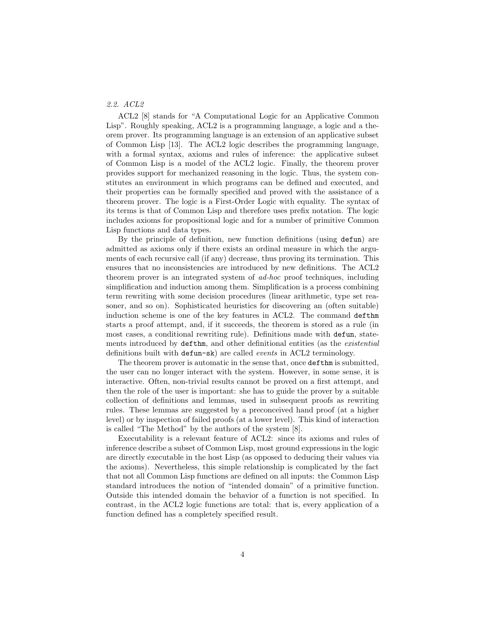# 2.2. ACL2

ACL2 [8] stands for "A Computational Logic for an Applicative Common Lisp". Roughly speaking, ACL2 is a programming language, a logic and a theorem prover. Its programming language is an extension of an applicative subset of Common Lisp [13]. The ACL2 logic describes the programming language, with a formal syntax, axioms and rules of inference: the applicative subset of Common Lisp is a model of the ACL2 logic. Finally, the theorem prover provides support for mechanized reasoning in the logic. Thus, the system constitutes an environment in which programs can be defined and executed, and their properties can be formally specified and proved with the assistance of a theorem prover. The logic is a First-Order Logic with equality. The syntax of its terms is that of Common Lisp and therefore uses prefix notation. The logic includes axioms for propositional logic and for a number of primitive Common Lisp functions and data types.

By the principle of definition, new function definitions (using defun) are admitted as axioms only if there exists an ordinal measure in which the arguments of each recursive call (if any) decrease, thus proving its termination. This ensures that no inconsistencies are introduced by new definitions. The ACL2 theorem prover is an integrated system of ad-hoc proof techniques, including simplification and induction among them. Simplification is a process combining term rewriting with some decision procedures (linear arithmetic, type set reasoner, and so on). Sophisticated heuristics for discovering an (often suitable) induction scheme is one of the key features in ACL2. The command defthm starts a proof attempt, and, if it succeeds, the theorem is stored as a rule (in most cases, a conditional rewriting rule). Definitions made with defun, statements introduced by defthm, and other definitional entities (as the *existential* definitions built with defun-sk) are called events in ACL2 terminology.

The theorem prover is automatic in the sense that, once defthm is submitted, the user can no longer interact with the system. However, in some sense, it is interactive. Often, non-trivial results cannot be proved on a first attempt, and then the role of the user is important: she has to guide the prover by a suitable collection of definitions and lemmas, used in subsequent proofs as rewriting rules. These lemmas are suggested by a preconceived hand proof (at a higher level) or by inspection of failed proofs (at a lower level). This kind of interaction is called "The Method" by the authors of the system [8].

Executability is a relevant feature of ACL2: since its axioms and rules of inference describe a subset of Common Lisp, most ground expressions in the logic are directly executable in the host Lisp (as opposed to deducing their values via the axioms). Nevertheless, this simple relationship is complicated by the fact that not all Common Lisp functions are defined on all inputs: the Common Lisp standard introduces the notion of "intended domain" of a primitive function. Outside this intended domain the behavior of a function is not specified. In contrast, in the ACL2 logic functions are total: that is, every application of a function defined has a completely specified result.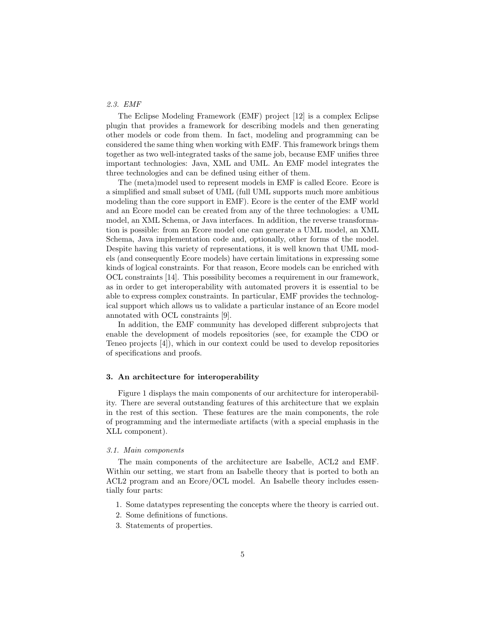# 2.3. EMF

The Eclipse Modeling Framework (EMF) project [12] is a complex Eclipse plugin that provides a framework for describing models and then generating other models or code from them. In fact, modeling and programming can be considered the same thing when working with EMF. This framework brings them together as two well-integrated tasks of the same job, because EMF unifies three important technologies: Java, XML and UML. An EMF model integrates the three technologies and can be defined using either of them.

The (meta)model used to represent models in EMF is called Ecore. Ecore is a simplified and small subset of UML (full UML supports much more ambitious modeling than the core support in EMF). Ecore is the center of the EMF world and an Ecore model can be created from any of the three technologies: a UML model, an XML Schema, or Java interfaces. In addition, the reverse transformation is possible: from an Ecore model one can generate a UML model, an XML Schema, Java implementation code and, optionally, other forms of the model. Despite having this variety of representations, it is well known that UML models (and consequently Ecore models) have certain limitations in expressing some kinds of logical constraints. For that reason, Ecore models can be enriched with OCL constraints [14]. This possibility becomes a requirement in our framework, as in order to get interoperability with automated provers it is essential to be able to express complex constraints. In particular, EMF provides the technological support which allows us to validate a particular instance of an Ecore model annotated with OCL constraints [9].

In addition, the EMF community has developed different subprojects that enable the development of models repositories (see, for example the CDO or Teneo projects [4]), which in our context could be used to develop repositories of specifications and proofs.

#### 3. An architecture for interoperability

Figure 1 displays the main components of our architecture for interoperability. There are several outstanding features of this architecture that we explain in the rest of this section. These features are the main components, the role of programming and the intermediate artifacts (with a special emphasis in the XLL component).

#### 3.1. Main components

The main components of the architecture are Isabelle, ACL2 and EMF. Within our setting, we start from an Isabelle theory that is ported to both an ACL2 program and an Ecore/OCL model. An Isabelle theory includes essentially four parts:

- 1. Some datatypes representing the concepts where the theory is carried out.
- 2. Some definitions of functions.
- 3. Statements of properties.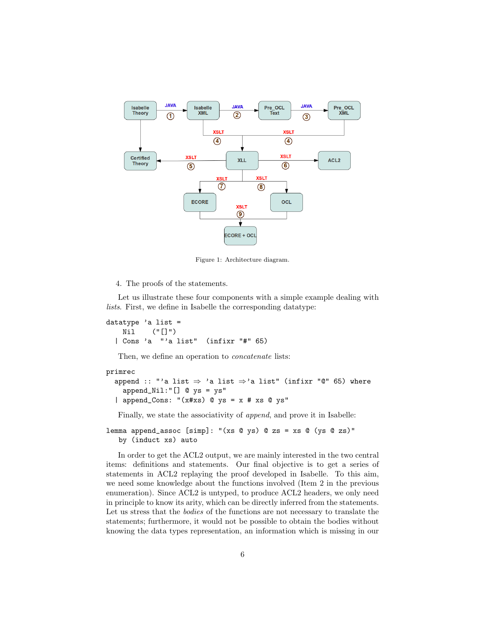

Figure 1: Architecture diagram.

4. The proofs of the statements.

Let us illustrate these four components with a simple example dealing with lists. First, we define in Isabelle the corresponding datatype:

datatype 'a list = Nil ("[]") | Cons 'a "'a list" (infixr "#" 65)

Then, we define an operation to *concatenate* lists:

## primrec

```
append :: "'a list \Rightarrow 'a list \Rightarrow 'a list" (infixr "@" 65) where
  append_Nil:"[] @ ys = ys"
| append_Cons: "(x \# xs) @ ys = x # xs @ ys"
```
Finally, we state the associativity of append, and prove it in Isabelle:

lemma append\_assoc [simp]: "(xs @ ys) @ zs = xs @ (ys @ zs)" by (induct xs) auto

In order to get the ACL2 output, we are mainly interested in the two central items: definitions and statements. Our final objective is to get a series of statements in ACL2 replaying the proof developed in Isabelle. To this aim, we need some knowledge about the functions involved (Item 2 in the previous enumeration). Since ACL2 is untyped, to produce ACL2 headers, we only need in principle to know its arity, which can be directly inferred from the statements. Let us stress that the *bodies* of the functions are not necessary to translate the statements; furthermore, it would not be possible to obtain the bodies without knowing the data types representation, an information which is missing in our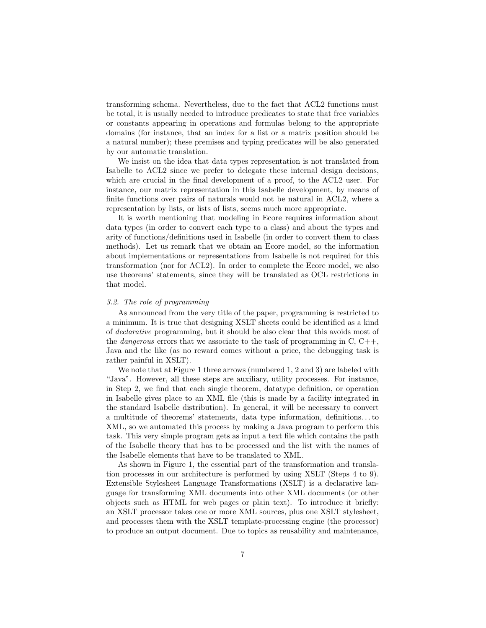transforming schema. Nevertheless, due to the fact that ACL2 functions must be total, it is usually needed to introduce predicates to state that free variables or constants appearing in operations and formulas belong to the appropriate domains (for instance, that an index for a list or a matrix position should be a natural number); these premises and typing predicates will be also generated by our automatic translation.

We insist on the idea that data types representation is not translated from Isabelle to ACL2 since we prefer to delegate these internal design decisions, which are crucial in the final development of a proof, to the ACL2 user. For instance, our matrix representation in this Isabelle development, by means of finite functions over pairs of naturals would not be natural in ACL2, where a representation by lists, or lists of lists, seems much more appropriate.

It is worth mentioning that modeling in Ecore requires information about data types (in order to convert each type to a class) and about the types and arity of functions/definitions used in Isabelle (in order to convert them to class methods). Let us remark that we obtain an Ecore model, so the information about implementations or representations from Isabelle is not required for this transformation (nor for ACL2). In order to complete the Ecore model, we also use theorems' statements, since they will be translated as OCL restrictions in that model.

# 3.2. The role of programming

As announced from the very title of the paper, programming is restricted to a minimum. It is true that designing XSLT sheets could be identified as a kind of declarative programming, but it should be also clear that this avoids most of the *dangerous* errors that we associate to the task of programming in  $C, C++,$ Java and the like (as no reward comes without a price, the debugging task is rather painful in XSLT).

We note that at Figure 1 three arrows (numbered 1, 2 and 3) are labeled with "Java". However, all these steps are auxiliary, utility processes. For instance, in Step 2, we find that each single theorem, datatype definition, or operation in Isabelle gives place to an XML file (this is made by a facility integrated in the standard Isabelle distribution). In general, it will be necessary to convert a multitude of theorems' statements, data type information, definitions. . . to XML, so we automated this process by making a Java program to perform this task. This very simple program gets as input a text file which contains the path of the Isabelle theory that has to be processed and the list with the names of the Isabelle elements that have to be translated to XML.

As shown in Figure 1, the essential part of the transformation and translation processes in our architecture is performed by using XSLT (Steps 4 to 9). Extensible Stylesheet Language Transformations (XSLT) is a declarative language for transforming XML documents into other XML documents (or other objects such as HTML for web pages or plain text). To introduce it briefly: an XSLT processor takes one or more XML sources, plus one XSLT stylesheet, and processes them with the XSLT template-processing engine (the processor) to produce an output document. Due to topics as reusability and maintenance,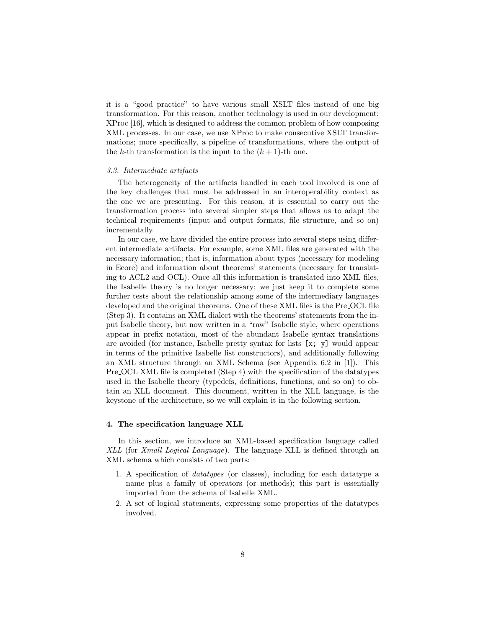it is a "good practice" to have various small XSLT files instead of one big transformation. For this reason, another technology is used in our development: XProc [16], which is designed to address the common problem of how composing XML processes. In our case, we use XProc to make consecutive XSLT transformations; more specifically, a pipeline of transformations, where the output of the k-th transformation is the input to the  $(k + 1)$ -th one.

#### 3.3. Intermediate artifacts

The heterogeneity of the artifacts handled in each tool involved is one of the key challenges that must be addressed in an interoperability context as the one we are presenting. For this reason, it is essential to carry out the transformation process into several simpler steps that allows us to adapt the technical requirements (input and output formats, file structure, and so on) incrementally.

In our case, we have divided the entire process into several steps using different intermediate artifacts. For example, some XML files are generated with the necessary information; that is, information about types (necessary for modeling in Ecore) and information about theorems' statements (necessary for translating to ACL2 and OCL). Once all this information is translated into XML files, the Isabelle theory is no longer necessary; we just keep it to complete some further tests about the relationship among some of the intermediary languages developed and the original theorems. One of these XML files is the Pre OCL file (Step 3). It contains an XML dialect with the theorems' statements from the input Isabelle theory, but now written in a "raw" Isabelle style, where operations appear in prefix notation, most of the abundant Isabelle syntax translations are avoided (for instance, Isabelle pretty syntax for lists [x; y] would appear in terms of the primitive Isabelle list constructors), and additionally following an XML structure through an XML Schema (see Appendix 6.2 in [1]). This Pre OCL XML file is completed (Step 4) with the specification of the datatypes used in the Isabelle theory (typedefs, definitions, functions, and so on) to obtain an XLL document. This document, written in the XLL language, is the keystone of the architecture, so we will explain it in the following section.

#### 4. The specification language XLL

In this section, we introduce an XML-based specification language called XLL (for Xmall Logical Language). The language XLL is defined through an XML schema which consists of two parts:

- 1. A specification of datatypes (or classes), including for each datatype a name plus a family of operators (or methods); this part is essentially imported from the schema of Isabelle XML.
- 2. A set of logical statements, expressing some properties of the datatypes involved.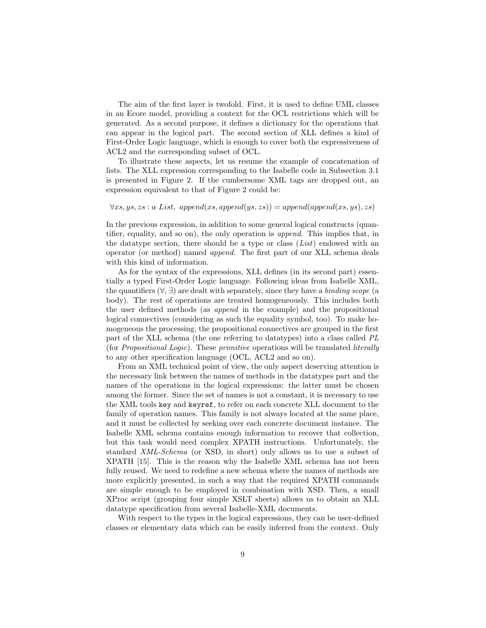The aim of the first layer is twofold. First, it is used to define UML classes in an Ecore model, providing a context for the OCL restrictions which will be generated. As a second purpose, it defines a dictionary for the operations that can appear in the logical part. The second section of XLL defines a kind of First-Order Logic language, which is enough to cover both the expressiveness of ACL2 and the corresponding subset of OCL.

To illustrate these aspects, let us resume the example of concatenation of lists. The XLL expression corresponding to the Isabelle code in Subsection 3.1 is presented in Figure 2. If the cumbersome XML tags are dropped out, an expression equivalent to that of Figure 2 could be:

# $\forall xs, ys, zs : a List, append(xs, append(ys, zs)) = append(append(xs, ys), zs)$

In the previous expression, in addition to some general logical constructs (quantifier, equality, and so on), the only operation is append. This implies that, in the datatype section, there should be a type or class  $(List)$  endowed with an operator (or method) named append. The first part of our XLL schema deals with this kind of information.

As for the syntax of the expressions, XLL defines (in its second part) essentially a typed First-Order Logic language. Following ideas from Isabelle XML, the quantifiers  $(\forall, \exists)$  are dealt with separately, since they have a *binding scope* (a body). The rest of operations are treated homogeneously. This includes both the user defined methods (as append in the example) and the propositional logical connectives (considering as such the equality symbol, too). To make homogeneous the processing, the propositional connectives are grouped in the first part of the XLL schema (the one referring to datatypes) into a class called PL (for Propositional Logic). These primitive operations will be translated literally to any other specification language (OCL, ACL2 and so on).

From an XML technical point of view, the only aspect deserving attention is the necessary link between the names of methods in the datatypes part and the names of the operations in the logical expressions: the latter must be chosen among the former. Since the set of names is not a constant, it is necessary to use the XML tools key and keyref, to refer on each concrete XLL document to the family of operation names. This family is not always located at the same place, and it must be collected by seeking over each concrete document instance. The Isabelle XML schema contains enough information to recover that collection, but this task would need complex XPATH instructions. Unfortunately, the standard XML-Schema (or XSD, in short) only allows us to use a subset of XPATH [15]. This is the reason why the Isabelle XML schema has not been fully reused. We need to redefine a new schema where the names of methods are more explicitly presented, in such a way that the required XPATH commands are simple enough to be employed in combination with XSD. Then, a small XProc script (grouping four simple XSLT sheets) allows us to obtain an XLL datatype specification from several Isabelle-XML documents.

With respect to the types in the logical expressions, they can be user-defined classes or elementary data which can be easily inferred from the context. Only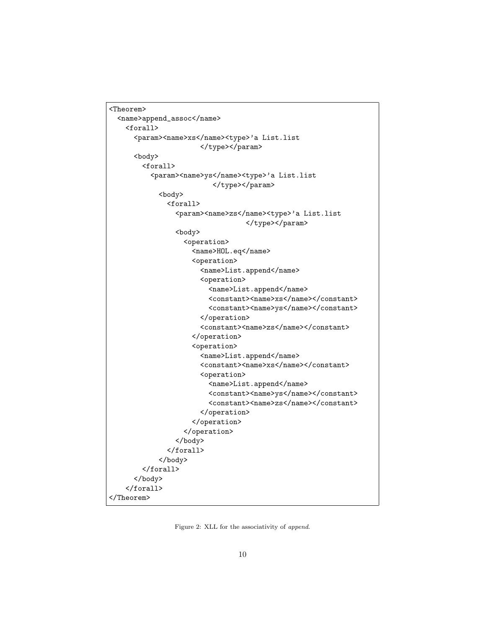```
<Theorem>
 <name>append_assoc</name>
   <forall>
      <param><name>xs</name><type>'a List.list
                      </type></param>
      <body>
        <forall>
          <param><name>ys</name><type>'a List.list
                         </type></param>
            <body>
              <forall>
                <param><name>zs</name><type>'a List.list
                                 </type></param>
                <body>
                  <operation>
                    <name>HOL.eq</name>
                    <operation>
                      <name>List.append</name>
                      <operation>
                        <name>List.append</name>
                        <constant><name>xs</name></constant>
                        <constant><name>ys</name></constant>
                      </operation>
                      <constant><name>zs</name></constant>
                    </operation>
                    <operation>
                      <name>List.append</name>
                      <constant><name>xs</name></constant>
                      <operation>
                        <name>List.append</name>
                        <constant><name>ys</name></constant>
                        <constant><name>zs</name></constant>
                      </operation>
                    </operation>
                  </operation>
                </body>
              </forall>
            </body>
        </forall>
      </body>
   </forall>
</Theorem>
```
Figure 2: XLL for the associativity of append.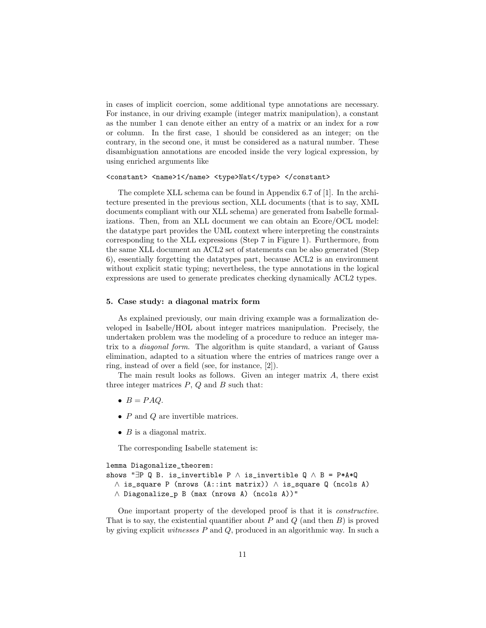in cases of implicit coercion, some additional type annotations are necessary. For instance, in our driving example (integer matrix manipulation), a constant as the number 1 can denote either an entry of a matrix or an index for a row or column. In the first case, 1 should be considered as an integer; on the contrary, in the second one, it must be considered as a natural number. These disambiguation annotations are encoded inside the very logical expression, by using enriched arguments like

#### <constant> <name>1</name> <type>Nat</type> </constant>

The complete XLL schema can be found in Appendix 6.7 of [1]. In the architecture presented in the previous section, XLL documents (that is to say, XML documents compliant with our XLL schema) are generated from Isabelle formalizations. Then, from an XLL document we can obtain an Ecore/OCL model: the datatype part provides the UML context where interpreting the constraints corresponding to the XLL expressions (Step 7 in Figure 1). Furthermore, from the same XLL document an ACL2 set of statements can be also generated (Step 6), essentially forgetting the datatypes part, because ACL2 is an environment without explicit static typing; nevertheless, the type annotations in the logical expressions are used to generate predicates checking dynamically ACL2 types.

## 5. Case study: a diagonal matrix form

As explained previously, our main driving example was a formalization developed in Isabelle/HOL about integer matrices manipulation. Precisely, the undertaken problem was the modeling of a procedure to reduce an integer matrix to a diagonal form. The algorithm is quite standard, a variant of Gauss elimination, adapted to a situation where the entries of matrices range over a ring, instead of over a field (see, for instance, [2]).

The main result looks as follows. Given an integer matrix A, there exist three integer matrices  $P$ ,  $Q$  and  $B$  such that:

- $B = PAQ$ .
- $P$  and  $Q$  are invertible matrices.
- $B$  is a diagonal matrix.

The corresponding Isabelle statement is:

```
lemma Diagonalize_theorem:
shows "∃P Q B. is_invertible P \land is_invertible Q \land B = P*A*Q
  ∧ is_square P (nrows (A::int matrix)) ∧ is_square Q (ncols A)
  ∧ Diagonalize_p B (max (nrows A) (ncols A))"
```
One important property of the developed proof is that it is constructive. That is to say, the existential quantifier about  $P$  and  $Q$  (and then  $B$ ) is proved by giving explicit witnesses P and Q, produced in an algorithmic way. In such a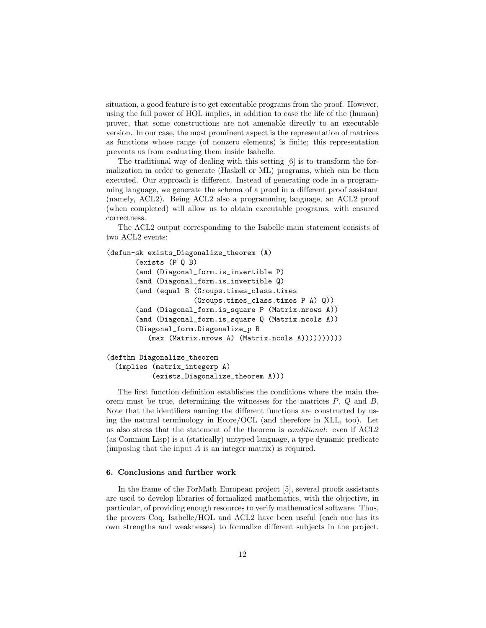situation, a good feature is to get executable programs from the proof. However, using the full power of HOL implies, in addition to ease the life of the (human) prover, that some constructions are not amenable directly to an executable version. In our case, the most prominent aspect is the representation of matrices as functions whose range (of nonzero elements) is finite; this representation prevents us from evaluating them inside Isabelle.

The traditional way of dealing with this setting [6] is to transform the formalization in order to generate (Haskell or ML) programs, which can be then executed. Our approach is different. Instead of generating code in a programming language, we generate the schema of a proof in a different proof assistant (namely, ACL2). Being ACL2 also a programming language, an ACL2 proof (when completed) will allow us to obtain executable programs, with ensured correctness.

The ACL2 output corresponding to the Isabelle main statement consists of two ACL2 events:

```
(defun-sk exists_Diagonalize_theorem (A)
       (exists (P Q B)
       (and (Diagonal_form.is_invertible P)
       (and (Diagonal_form.is_invertible Q)
       (and (equal B (Groups.times_class.times
                     (Groups.times_class.times P A) Q))
       (and (Diagonal_form.is_square P (Matrix.nrows A))
       (and (Diagonal_form.is_square Q (Matrix.ncols A))
       (Diagonal_form.Diagonalize_p B
          (max (Matrix.nrows A) (Matrix.ncols A))))))))))
(defthm Diagonalize_theorem
  (implies (matrix_integerp A)
```
(exists\_Diagonalize\_theorem A)))

The first function definition establishes the conditions where the main theorem must be true, determining the witnesses for the matrices  $P$ ,  $Q$  and  $B$ . Note that the identifiers naming the different functions are constructed by using the natural terminology in Ecore/OCL (and therefore in XLL, too). Let us also stress that the statement of the theorem is conditional: even if ACL2 (as Common Lisp) is a (statically) untyped language, a type dynamic predicate (imposing that the input  $A$  is an integer matrix) is required.

#### 6. Conclusions and further work

In the frame of the ForMath European project [5], several proofs assistants are used to develop libraries of formalized mathematics, with the objective, in particular, of providing enough resources to verify mathematical software. Thus, the provers Coq, Isabelle/HOL and ACL2 have been useful (each one has its own strengths and weaknesses) to formalize different subjects in the project.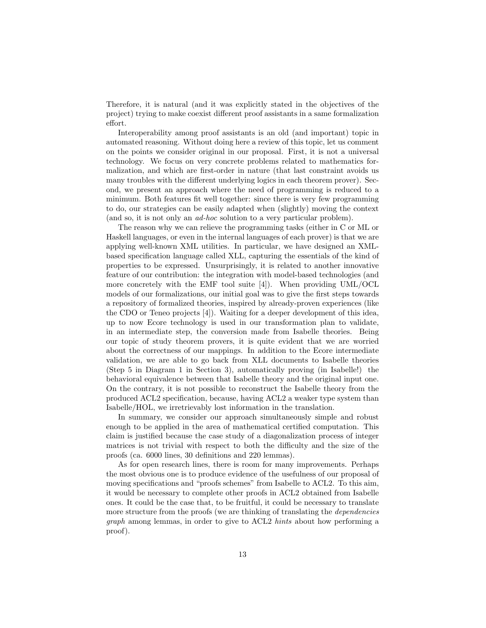Therefore, it is natural (and it was explicitly stated in the objectives of the project) trying to make coexist different proof assistants in a same formalization effort.

Interoperability among proof assistants is an old (and important) topic in automated reasoning. Without doing here a review of this topic, let us comment on the points we consider original in our proposal. First, it is not a universal technology. We focus on very concrete problems related to mathematics formalization, and which are first-order in nature (that last constraint avoids us many troubles with the different underlying logics in each theorem prover). Second, we present an approach where the need of programming is reduced to a minimum. Both features fit well together: since there is very few programming to do, our strategies can be easily adapted when (slightly) moving the context (and so, it is not only an ad-hoc solution to a very particular problem).

The reason why we can relieve the programming tasks (either in C or ML or Haskell languages, or even in the internal languages of each prover) is that we are applying well-known XML utilities. In particular, we have designed an XMLbased specification language called XLL, capturing the essentials of the kind of properties to be expressed. Unsurprisingly, it is related to another innovative feature of our contribution: the integration with model-based technologies (and more concretely with the EMF tool suite  $[4]$ . When providing UML/OCL models of our formalizations, our initial goal was to give the first steps towards a repository of formalized theories, inspired by already-proven experiences (like the CDO or Teneo projects [4]). Waiting for a deeper development of this idea, up to now Ecore technology is used in our transformation plan to validate, in an intermediate step, the conversion made from Isabelle theories. Being our topic of study theorem provers, it is quite evident that we are worried about the correctness of our mappings. In addition to the Ecore intermediate validation, we are able to go back from XLL documents to Isabelle theories (Step 5 in Diagram 1 in Section 3), automatically proving (in Isabelle!) the behavioral equivalence between that Isabelle theory and the original input one. On the contrary, it is not possible to reconstruct the Isabelle theory from the produced ACL2 specification, because, having ACL2 a weaker type system than Isabelle/HOL, we irretrievably lost information in the translation.

In summary, we consider our approach simultaneously simple and robust enough to be applied in the area of mathematical certified computation. This claim is justified because the case study of a diagonalization process of integer matrices is not trivial with respect to both the difficulty and the size of the proofs (ca. 6000 lines, 30 definitions and 220 lemmas).

As for open research lines, there is room for many improvements. Perhaps the most obvious one is to produce evidence of the usefulness of our proposal of moving specifications and "proofs schemes" from Isabelle to ACL2. To this aim, it would be necessary to complete other proofs in ACL2 obtained from Isabelle ones. It could be the case that, to be fruitful, it could be necessary to translate more structure from the proofs (we are thinking of translating the *dependencies* graph among lemmas, in order to give to ACL2 hints about how performing a proof).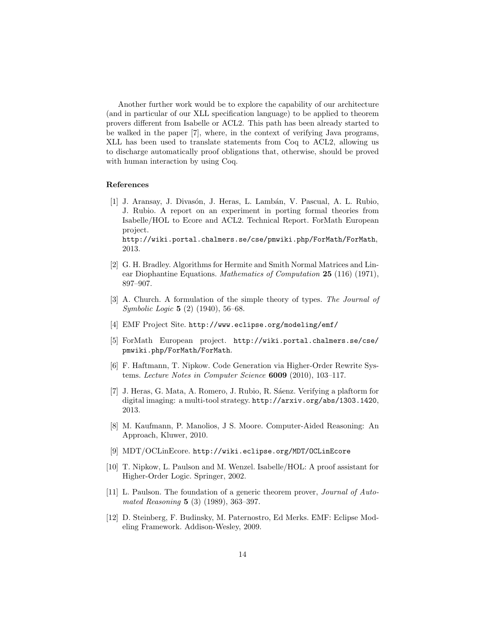Another further work would be to explore the capability of our architecture (and in particular of our XLL specification language) to be applied to theorem provers different from Isabelle or ACL2. This path has been already started to be walked in the paper [7], where, in the context of verifying Java programs, XLL has been used to translate statements from Coq to ACL2, allowing us to discharge automatically proof obligations that, otherwise, should be proved with human interaction by using Coq.

#### References

[1] J. Aransay, J. Divasón, J. Heras, L. Lambán, V. Pascual, A. L. Rubio, J. Rubio. A report on an experiment in porting formal theories from Isabelle/HOL to Ecore and ACL2. Technical Report. ForMath European project. http://wiki.portal.chalmers.se/cse/pmwiki.php/ForMath/ForMath,

2013.

- [2] G. H. Bradley. Algorithms for Hermite and Smith Normal Matrices and Linear Diophantine Equations. Mathematics of Computation 25 (116) (1971), 897–907.
- [3] A. Church. A formulation of the simple theory of types. The Journal of Symbolic Logic 5 (2) (1940), 56–68.
- [4] EMF Project Site. http://www.eclipse.org/modeling/emf/
- [5] ForMath European project. http://wiki.portal.chalmers.se/cse/ pmwiki.php/ForMath/ForMath.
- [6] F. Haftmann, T. Nipkow. Code Generation via Higher-Order Rewrite Systems. Lecture Notes in Computer Science 6009 (2010), 103–117.
- [7] J. Heras, G. Mata, A. Romero, J. Rubio, R. Sáenz. Verifying a plaftorm for digital imaging: a multi-tool strategy. http://arxiv.org/abs/1303.1420, 2013.
- [8] M. Kaufmann, P. Manolios, J S. Moore. Computer-Aided Reasoning: An Approach, Kluwer, 2010.
- [9] MDT/OCLinEcore. http://wiki.eclipse.org/MDT/OCLinEcore
- [10] T. Nipkow, L. Paulson and M. Wenzel. Isabelle/HOL: A proof assistant for Higher-Order Logic. Springer, 2002.
- [11] L. Paulson. The foundation of a generic theorem prover, Journal of Automated Reasoning 5 (3) (1989), 363–397.
- [12] D. Steinberg, F. Budinsky, M. Paternostro, Ed Merks. EMF: Eclipse Modeling Framework. Addison-Wesley, 2009.